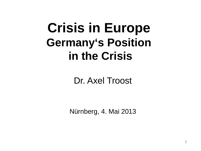# **Crisis in Europe Germany's Position in the Crisis**

Dr. Axel Troost

Nürnberg, 4. Mai 2013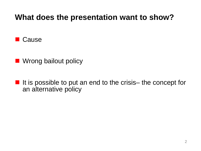### **What does the presentation want to show?**



- **Notative Millen Wrong bailout policy**
- If it is possible to put an end to the crisis— the concept for an alternative policy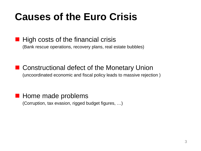# **Causes of the Euro Crisis**

#### $\blacksquare$  High costs of the financial crisis

(Bank rescue operations, recovery plans, real estate bubbles)

■ Constructional defect of the Monetary Union (uncoordinated economic and fiscal policy leads to massive rejection )

#### **Home made problems**

(Corruption, tax evasion, rigged budget figures, …)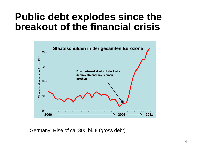# **Public debt explodes since the breakout of the financial crisis**



Germany: Rise of ca. 300 bi.  $\in$  (gross debt)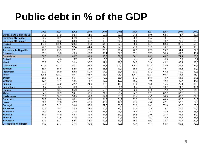# **Public debt in % of the GDP**

|                           | 2000  | 2001  | 2002  | 2003  | 2004  | 2005  | 2006  | 2007  | 2008  | 2009  | 2010  |
|---------------------------|-------|-------|-------|-------|-------|-------|-------|-------|-------|-------|-------|
| Europäische Union (27 Län | 61,9  | 61,0  | 60,4  | 61,9  | 62,3  | 62,8  | 61,5  | 59,0  | 62,5  | 74,7  | 80,1  |
| Euroraum (17 Länder)      | 69,2  | 68.1  | 67,9  | 69,1  | 69,5  | 70,   | 68,5  | 66,3  | 70,1  | 79,8  | 85,3  |
| Euroraum (16 Länder)      | 69,2  | 68,2  | 68,0  | 69,2  | 69,6  | 70,2  | 68,6  | 66.4  | 70,2  | 79,9  | 85,5  |
| Belgien                   | 107.8 | 106,5 | 103,4 | 98,4  | 94,0  | 92,0  | 88,0  | 84,1  | 89,3  | 95,9  | 96,2  |
| <b>Bulgarien</b>          | 72,5  | 66.0  | 52,4  | 44,4  | 37,0  | 27,5  | 21.6  | 17.2  | 13,7  | 14.6  | 16,3  |
| Tschechische Republik     | 17.8  | 23,9  | 27,1  | 28,6  | 28,9  | 28,4  | 28,3  | 27,9  | 28,7  | 34,4  | 37,6  |
| <b>Dänemark</b>           | 52,4  | 49,6  | 49,5  | 47,2  | 45,1  | 37,8  | 32,1  | 27,5  | 34,5  | 41,8  | 43,7  |
| Deutschland               | 60,2  | 59,1  | 60,7  | 64,4  | 66,3  | 68,6  | 68,1  | 65,2  | 66,7  | 74,4  | 83,2  |
| <b>Estland</b>            | 5.1   | 4,8   | 5,7   | 5.6   | 5.0   | 4.6   | 4.4   | 3,7   | 4,5   | 7,2   | 6,7   |
| <b>Irland</b>             | 37,5  | 35,2  | 31,9  | 30,7  | 29,4  | 27.2  | 24,7  | 24,8  | 44,2  | 65.2  | 92,5  |
| Griechenland              | 103,4 | 103,7 | 101.7 | 97,4  | 98.6  | 100,0 | 106,7 | 107,4 | 113.0 | 129,3 | 144,9 |
| Spanien                   | 59,4  | 55.6  | 52,6  | 48,8  | 46,3  | 43,   | 39,6  | 36,2  | 40,1  | 53.8  | 61,0  |
| Frankreich                | 57,3  | 56,9  | 58,8  | 62,9  | 64,9  | 66,4  | 63,7  | 64,2  | 68,2  | 79,0  | 82,3  |
| Italien                   | 108,5 | 108,2 | 105,1 | 103,9 | 103.4 | 105.4 | 106,1 | 103,1 | 105,8 | 115,5 | 118,4 |
| Zypern                    | 59,6  | 61,2  | 65,1  | 69,7  | 70,9  | 69,4  | 64,7  | 58,8  | 48,9  | 58,5  | 61,5  |
| Lettland                  | 12,4  | 14,1  | 13,6  | 14,7  | 15,0  | 12,5  | 10,7  | 9,0   | 19,8  | 36,7  | 44,7  |
| Litauen                   | 23,6  | 23,0  | 22,2  | 21,0  | 19,3  | 18,3  | 17,9  | 16,8  | 15,5  | 29,4  | 38,0  |
| Luxemburg                 | 6,2   | 6,3   | 6,3   | 6,1   | 6,3   | 6,    | 6,7   | 6,7   | 13,7  | 14,8  | 19,1  |
| Ungarn                    | 56,1  | 52,7  | 55,9  | 58,6  | 59,5  | 61.7  | 65,9  | 67,0  | 72,9  | 79,7  | 81,3  |
| <b>Malta</b>              | 54,9  | 60,9  | 59,1  | 67,6  | 71.7  | 69,7  | 64.1  | 62,1  | 62,2  | 67.8  | 69,0  |
| Niederlande               | 53,8  | 50,7  | 50,5  | 52,0  | 52,4  | 51,8  | 47,4  | 45,3  | 58,5  | 60.8  | 62,9  |
| Österreich                | 66.2  | 66.8  | 66,2  | 65,3  | 64,7  | 64.2  | 62,3  | 60,2  | 63,8  | 69.5  | 71,8  |
| Polen                     | 36,8  | 37,6  | 42,2  | 47,1  | 45,7  | 47,1  | 47,7  | 45,0  | 47,1  | 50,9  | 54,9  |
| Portugal                  | 48,5  | 51,2  | 53,8  | 55,9  | 57,6  | 62,8  | 63,9  | 68,3  | 71,6  | 83.0  | 93,3  |
| <b>Rumänien</b>           | 22,5  | 25,7  | 24,9  | 21,5  | 18,7  | 15.8  | 12,4  | 12,8  | 13,4  | 23,6  | 31,0  |
| Slowenien                 | 26.3  | 26.5  | 27,8  | 27,2  | 27,3  | 26,7  | 26.4  | 23,1  | 21,9  | 35.3  | 38,8  |
| Slowakei                  | 50,3  | 48,9  | 43,4  | 42,4  | 41,5  | 34,2  | 30,5  | 29,6  | 27,8  | 35,5  | 41,0  |
| <b>Finnland</b>           | 43,8  | 42,5  | 41,5  | 44,5  | 44,4  | 41,7  | 39,6  | 35,2  | 33,9  | 43,3  | 48,3  |
| Schweden                  | 53,9  | 54,7  | 52,5  | 51,7  | 50,3  | 50,4  | 45,0  | 40,2  | 38,8  | 42,7  | 39,7  |
| Vereinigtes Königreich    | 41.0  | 37,7  | 37,5  | 39,0  | 40,9  | 42,5  | 43,4  | 44,4  | 54,8  | 69,6  | 79,9  |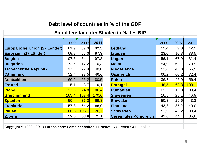#### **Debt level of countries in % of the GDP**

| Schuldenstand der Staaten in % des BIP                                                 |       |       |       |  |                        |      |       |       |  |  |  |
|----------------------------------------------------------------------------------------|-------|-------|-------|--|------------------------|------|-------|-------|--|--|--|
|                                                                                        |       |       |       |  |                        |      |       |       |  |  |  |
|                                                                                        | 2000  | 2007  | 2011  |  |                        | 2000 | 2007  | 2011  |  |  |  |
| Europäische Union (27 Länder)                                                          | 61,9  | 59,0  | 82,5  |  | <b>Lettland</b>        | 12,4 | 9,0   | 42,2  |  |  |  |
| Euroraum (17 Länder)                                                                   | 69,2  | 66,3  | 87,3  |  | Litauen                | 23,6 | 16, 8 | 38,5  |  |  |  |
| <b>Belgien</b>                                                                         | 107,8 | 84,1  | 97,8  |  | Ungarn                 | 56,1 | 67,0  | 81,4  |  |  |  |
| <b>Bulgarien</b>                                                                       | 72,5  | 17,2  | 16,3  |  | <b>Malta</b>           | 54,9 | 62,1  | 70,9  |  |  |  |
| <b>Tschechische Republik</b>                                                           | 17,8  | 27,9  | 40,8  |  | <b>Niederlande</b>     | 53,8 | 45,3  | 65,5  |  |  |  |
| <b>Dänemark</b>                                                                        | 52,4  | 27,5  | 46,6  |  | Österreich             | 66,2 | 60,2  | 72,4  |  |  |  |
| Deutschland                                                                            | 60,2  | 65,2  | 80,5  |  | Polen                  | 36,8 | 45,0  | 56,4  |  |  |  |
| <b>Estland</b>                                                                         | 5,1   | 3,7   | 6,1   |  | <b>Portugal</b>        | 48,5 | 68,3  | 108,1 |  |  |  |
| <b>Irland</b>                                                                          | 37,5  | 24,8  | 106,4 |  | Rumänien               | 22,5 | 12,8  | 33,4  |  |  |  |
| Griechenland                                                                           | 103,4 | 107,4 | 170,6 |  | <b>Slowenien</b>       | 26,3 | 23,1  | 46,9  |  |  |  |
| Spanien                                                                                | 59,4  | 36,2  | 69,3  |  | Slowakei               | 50,3 | 29,6  | 43,3  |  |  |  |
| Frankreich                                                                             | 57,3  | 64,2  | 86,0  |  | <b>Finnland</b>        | 43,8 | 35,2  | 49,0  |  |  |  |
| <b>Italien</b>                                                                         | 108,5 | 103,1 | 120,7 |  | <b>Schweden</b>        | 53,9 | 40,2  | 38,4  |  |  |  |
| <b>Zypern</b>                                                                          | 59,6  | 58,8  | 71,1  |  | Vereinigtes Königreich | 41,0 | 44,4  | 85,0  |  |  |  |
|                                                                                        |       |       |       |  |                        |      |       |       |  |  |  |
| Copyright © 1980 - 2013 Europäische Gemeinschaften, Eurostat. Alle Rechte vorbehalten. |       |       |       |  |                        |      |       |       |  |  |  |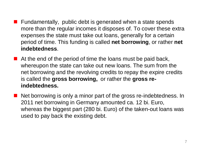- Fundamentally, public debt is generated when a state spends more than the regular incomes it disposes of. To cover these extra expenses the state must take out loans, generally for a certain period of time. This funding is called **net borrowing**, or rather **net indebtedness**.
- $\blacksquare$  At the end of the period of time the loans must be paid back, whereupon the state can take out new loans. The sum from the net borrowing and the revolving credits to repay the expire credits is called the **gross borrowing,** or rather the **gross reindebtedness.**
- Net borrowing is only a minor part of the gross re-indebtedness. In 2011 net borrowing in Germany amounted ca. 12 bi. Euro, whereas the biggest part (280 bi. Euro) of the taken-out loans was used to pay back the existing debt.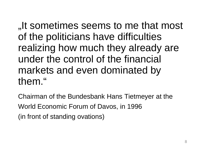"It sometimes seems to me that most of the politicians have difficulties realizing how much they already are under the control of the financial markets and even dominated by them."

Chairman of the Bundesbank Hans Tietmeyer at the World Economic Forum of Davos, in 1996 (in front of standing ovations)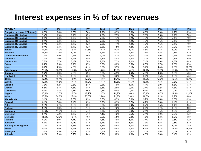### **Interest expenses in % of tax revenues**

| <b>GEO/TIME</b>               | 2000  | 2001  | 2002  | 2003  | 2004  | 2005  | 2006  | 2007  | 2008  | 2009  | 2010  |
|-------------------------------|-------|-------|-------|-------|-------|-------|-------|-------|-------|-------|-------|
| Europäische Union (27 Länder) | 8,9%  | 8,6%  | 8,0%  | 7.6%  | 7,2%  | 6,9%  | 6,6%  | 6,8%  | 6,9%  | 6,7%  | 6,9%  |
| Euroraum (17 Länder)          | 9,4%  | 9,3%  | 8,7%  | 8,2%  | 7,8%  | 7,5%  | 7,2%  | 7,3%  | 7,5%  | 7,1%  | 7,0%  |
| Euroraum (16 Länder)          | 9,4%  | 9,3%  | 8,7%  | 8,2%  | 7,8%  | 7,4%  | 7,2%  | 7,3%  | 7,5%  | 7,1%  | 7,0%  |
| Euroraum (15 Länder)          | 9,4%  | 9,3%  | 8,7%  | 8,2%  | 7,8%  | 7,4%  | 7,2%  | 7,3%  | 7,6%  | 7,1%  | 7,0%  |
| Euroraum (13 Länder)          | 9,4%  | 9,3%  | 8,7%  | 8,2%  | 7,8%  | 7,4%  | 7,2%  | 7,3%  | 7,6%  | 7,1%  | 7,0%  |
| Euroraum (12 Länder)          | 9,4%  | 9,3%  | 8,7%  | 8,2%  | 7,8%  | 7,5%  | 7,2%  | 7,3%  | 7,6%  | 7,2%  | 7,0%  |
| Belgien                       | 14,3% | 14,0% | 12,3% | 11,6% | 10,3% | 9,3%  | 8,7%  | 8,5%  | 8,4%  | 8,2%  | 7,6%  |
| <b>Bulgarien</b>              | 13,2% | 13,9% | 8,0%  | 7,2%  | 5,9%  | 5,1%  | 4,3%  | 3,6%  | 2,8%  | 2,7%  | 2,2%  |
| <b>Tschechische Republik</b>  | 2,4%  | 2,9%  | 3,3%  | 3,0%  | 3,0%  | 3,1%  | 3,0%  | 3,1%  | 3,0%  | 3,8%  | 4,0%  |
| <b>Dänemark</b>               | 7,4%  | 7,0%  | 6,5%  | 5,9%  | 5,1%  | 4,0%  | 3,5%  | 3,2%  | 2,9%  | 3,9%  | 3,9%  |
| <b>Deutschland</b>            | 7,6%  | 7,7%  | 7,4%  | 7,5%  | 7,3%  | 7,2%  | 7,2%  | 7,1%  | 6,9%  | 6,6%  | 6,4%  |
| <b>Estland</b>                | 0,7%  | 0,5%  | 0,7%  | 0,7%  | 0,7%  | 0,6%  | 0,6%  | 0,5%  | 0,7%  | 0,5%  | 0,3%  |
| <b>Irland</b>                 | 6,2%  | 4,9%  | 4,6%  | 4,1%  | 3,6%  | 3,3%  | 3,1%  | 3,2%  | 4,4%  | 6,8%  | 10,5% |
| Griechenland                  | 20,5% | 18,6% | 15,8% | 14,7% | 14,6% | 13,7% | 14.1% | 14,1% | 15,1% | 15,8% | 17,6% |
| <b>Spanien</b>                | 9,4%  | 9,0%  | 7,8%  | 6,9%  | 5,8%  | 4,9%  | 4,4%  | 4,3%  | 4,8%  | 5,6%  | 5,8%  |
| Frankreich                    | 6,3%  | 6,7%  | 6,6%  | 6,3%  | 6,2%  | 6,0%  | 5,7%  | 6,0%  | 6,5%  | 5,6%  | 5,5%  |
| <b>Italien</b>                | 15,3% | 15,4% | 13,9% | 12,5% | 11,8% | 11,7% | 11,1% | 11,6% | 12,0% | 10,6% | 10,4% |
| Zypern                        | 19,4% | 18,8% | 17,7% | 18,9% | 17,4% | 17,3% | 15,7% | 13,1% | 7,4%  | 7,3%  | 6,4%  |
| Lettland                      | 3,3%  | 3,2%  | 2,6%  | 2,4%  | 2,6%  | 1,9%  | 1,5%  | 1,1%  | 2,0%  | 5,5%  | 5,3%  |
| Litauen                       | 5,8%  | 5,3%  | 4,6%  | 4,4%  | 3,3%  | 2,8%  | 2,5%  | 2,4%  | 2,2%  | 4,3%  | 6,7%  |
| Luxemburg                     | 0,9%  | 0,8%  | 0,7%  | 0,6%  | 0,4%  | 0,4%  | 0,5%  | 0,7%  | 0,9%  | 1,0%  | 1,1%  |
| Ungarn                        | 13,4% | 12,3% | 10,7% | 10,7% | 11,7% | 11,2% | 10,6% | 10,3% | 10,3% | 11,6% | 11,1% |
| <b>Malta</b>                  | 28,5% | 24,6% | 25,4% | 23,8% | 25,0% | 24,7% | 23,6% | 21,7% | 9.2%  | 8,9%  | 8,8%  |
| Niederlande                   | 9,1%  | 8,2%  | 7,3%  | 6,9%  | 6,5%  | 6,2%  | 5,6%  | 5,7%  | 5,6%  | 5,6%  | 4,9%  |
| Österreich                    | 8,1%  | 7,6%  | 7,4%  | 6,9%  | 6,7%  | 6,9%  | 6,7%  | 6,7%  | 6,0%  | 6,4%  | 6,1%  |
| Polen                         | 9,3%  | 9,7%  | 8.8%  | 9.2%  | 8.8%  | 8.6%  | 7,9%  | 6.7%  | 6,5%  | 8,4%  | 8.5%  |
| Portugal                      | 8,8%  | 8,8%  | 8,2%  | 7,7%  | 7,6%  | 7,0%  | 7,5%  | 8,4%  | 8,7%  | 8,5%  | 8,8%  |
| Rumänien                      | 12,9% | 11,9% | 8,6%  | 5,7%  | 5,3%  | 4,3%  | 2,9%  | 2,4%  | 2,5%  | 5,6%  | 5,6%  |
| Slowenien                     | 6,4%  | 6,2%  | 5,7%  | 5,1%  | 4,4%  | 4,0%  | 3,6%  | 3,4%  | 3,0%  | 3,6%  | 4,3%  |
| Slowakei                      | 11.9% | 12.0% | 10.7% | 7.6%  | 6.9%  | 5,5%  | 5.0%  | 4.8%  | 4.3%  | 5,0%  | 4.8%  |
| <b>Finnland</b>               | 6,0%  | 6,0%  | 4,7%  | 4,3%  | 4,1%  | 3,8%  | 3,6%  | 3,4%  | 3,4%  | 3,3%  | 3,2%  |
| Schweden                      | 6,7%  | 5,5%  | 6,4%  | 4,7%  | 3,7%  | 3,8%  | 3,6%  | 3,7%  | 3,5%  | 2,5%  | 2,3%  |
| Vereinigtes Königreich        | 7,2%  | 6,2%  | 5,5%  | 5,5%  | 5,4%  | 5,6%  | 5,4%  | 5,9%  | 5,8%  | 5,2%  | 7,8%  |
| Island                        | 9,1%  | 9,5%  | 8,5%  | 7,5%  | 6,4%  | 5,4%  | 5,2%  | 6,4%  | 9,1%  | 19,5% | 15,8% |
| Norwegen                      | 3,6%  | 4,3%  | 4,2%  | 4,3%  | 3,3%  | 2,8%  | 3,5%  | 3,0%  | 3,5%  | 3,4%  | 3,1%  |
| Schweiz                       | 6,1%  | 5,9%  | 5,7%  | 5,4%  | 5,2%  | 5,0%  | 4,6%  | 4,3%  | 3,8%  | 3,4%  | 3,2%  |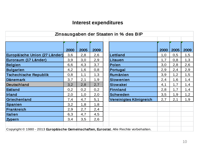#### **Interest expenditures**

| Zinsausgaben der Staaten in % des BIP                                                  |      |      |      |  |                        |      |      |      |  |  |
|----------------------------------------------------------------------------------------|------|------|------|--|------------------------|------|------|------|--|--|
|                                                                                        |      |      |      |  |                        |      |      |      |  |  |
|                                                                                        |      |      |      |  |                        |      |      |      |  |  |
|                                                                                        | 2000 | 2005 | 2009 |  |                        | 2000 | 2005 | 2009 |  |  |
| Europäische Union (27 Länder)                                                          | 3,6  | 2,8  | 2,6  |  | Lettland               | 1,0  | 0,5  | 1,5  |  |  |
| Euroraum (17 Länder)                                                                   | 3,9  | 3,0  | 2,9  |  | Litauen                | 1,7  | 0,8  | 1,3  |  |  |
| Belgien                                                                                | 6,6  | 4,3  | 3,7  |  | Polen                  | 3,0  | 2,8  | 2,6  |  |  |
| Bulgarien                                                                              | 4,2  | 1,6  | 0,8  |  | Portugal               | 2,9  | 2,4  | 2,9  |  |  |
| <b>Tschechische Republik</b>                                                           | 0,8  | 1,1  | 1,3  |  | <b>Rumänien</b>        | 3,9  | 1,2  | 1,5  |  |  |
| Dänemark                                                                               | 3,7  | 2,1  | 1,9  |  | <b>Slowenien</b>       | 2,4  | 1,6  | 1,4  |  |  |
| Deutschland                                                                            | 3,2  | 2,8  | 2,7  |  | <b>Slowakei</b>        | 4,1  | 1,7  | 1,4  |  |  |
| Estland                                                                                | 0,2  | 0,2  | 0,2  |  | <b>Finnland</b>        | 2,8  | 1,7  | 1,4  |  |  |
| <b>Irland</b>                                                                          | 2,0  | 1,0  | 2,0  |  | <b>Schweden</b>        | 3,5  | 1,9  | 1,2  |  |  |
| Griechenland                                                                           | 7,4  | 4,7  | 5,1  |  | Vereinigtes Königreich | 2,7  | 2,1  | 1,9  |  |  |
| Spanien                                                                                | 3,2  | 1,8  | 1,8  |  |                        |      |      |      |  |  |
| Frankreich                                                                             | 2,9  | 2,7  | 2,4  |  |                        |      |      |      |  |  |
| <b>Italien</b>                                                                         | 6,3  | 4,7  | 4,5  |  |                        |      |      |      |  |  |
| <b>Zypern</b>                                                                          | 3,4  | 3,5  | 2,6  |  |                        |      |      |      |  |  |
|                                                                                        |      |      |      |  |                        |      |      |      |  |  |
| Copyright © 1980 - 2013 Europäische Gemeinschaften, Eurostat. Alle Rechte vorbehalten. |      |      |      |  |                        |      |      |      |  |  |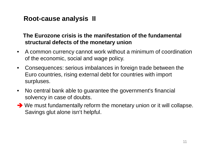#### **Root-cause analysis II**

#### **The Eurozone crisis is the manifestation of the fundamental structural defects of the monetary union**

- A common currency cannot work without a minimum of coordination of the economic, social and wage policy.
- Consequences: serious imbalances in foreign trade between the Euro countries, rising external debt for countries with import surpluses.
- No central bank able to guarantee the government's financial solvency in case of doubts.
- ◆ We must fundamentally reform the monetary union or it will collapse. Savings glut alone isn't helpful.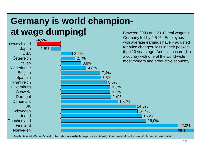### **Germany is world champion**at wage dumping!<br>Between 2000 and 2010, real wages in



Quelle: Global Wage Report, Internationale Arbeitsorganisation Genf, Griechenland und Portugal Ameco-Datenbank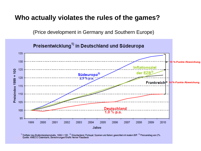#### **Who actually violates the rules of the games?**

(Price development in Germany and Southern Europe)

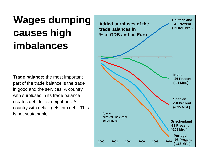# **Wages dumping causes high imbalances**

**Trade balance:** the most important part of the trade balance is the trade in good and the services. A country with surpluses in its trade balance creates debt for ist neighbour. A country with deficit gets into debt. This is not sustainable.

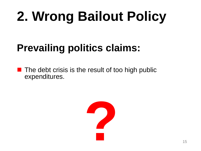# **2. Wrong Bailout Policy**

# **Prevailing politics claims:**

 The debt crisis is the result of too high public expenditures.

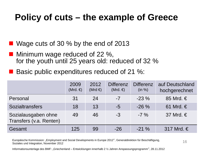### **Policy of cuts – the example of Greece**

Wage cuts of 30 % by the end of 2013

- Minimum wage reduced of 22 %, for the youth until 25 years old: reduced of 32 %
- Basic public expenditures reduced of 21 %:

|                                                | 2009<br>(Mrd. $\in$ ) | 2012<br>(Mrd $\in$ ) | <b>Differenz</b><br>(Mrd. $\in$ ) | <b>Differenz</b><br>(in %) | auf Deutschland<br>hochgerechnet |
|------------------------------------------------|-----------------------|----------------------|-----------------------------------|----------------------------|----------------------------------|
| Personal                                       | 31                    | 24                   | $-7$                              | $-23\%$                    | 85 Mrd. $\in$                    |
| <b>Sozialtransfers</b>                         | 18                    | 13                   | $-5$                              | $-26\%$                    | 61 Mrd. $\in$                    |
| Sozialausgaben ohne<br>Transfers (v.a. Renten) | 49                    | 46                   | $-3$                              | $-7\%$                     | 37 Mrd. $\in$                    |
| Gesamt                                         | 125                   | 99                   | $-26$                             | $-21\%$                    | 317 Mrd. $\in$                   |

Europäische Kommission: "Employment and Social Developments in Europe 2012", Generaldirektion für Beschäftigung,<br>
2016 Soziales und Integration, November 2012

Informationsunterlage des BMF: "Griechenland – Entwicklungen innerhalb 2 ½ Jahren Anspassungsprogramm", 28.11.2012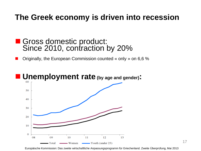### **The Greek economy is driven into recession**

#### Gross domestic product: Since 2010, contraction by 20%

Originally, the European Commission counted « only » on 6,6 %



17

Europäische Kommission: Das zweite wirtschaftliche Anpassungsprogramm für Griechenland. Zweite Überprüfung, Mai 2013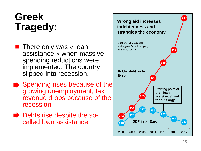# **Greek Tragedy:**

- **There only was « loan** assistance » when massive spending reductions were implemented. The country slipped into recession.
- Spending rises because of the growing unemployment, tax revenue drops because of the recession.
- Debts rise despite the socalled loan assistance.

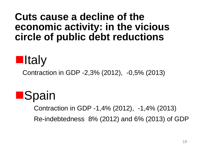### **Cuts cause a decline of the economic activity: in the vicious circle of public debt reductions**



Contraction in GDP -2,3% (2012), -0,5% (2013)



 Contraction in GDP -1,4% (2012), -1,4% (2013) Re-indebtedness 8% (2012) and 6% (2013) of GDP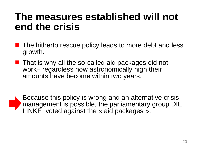## **The measures established will not end the crisis**

- The hitherto rescue policy leads to more debt and less growth.
- **That is why all the so-called aid packages did not** work– regardless how astronomically high their amounts have become within two years.

Because this policy is wrong and an alternative crisis **The management is possible, the parliamentary group DIE** LINKE voted against the « aid packages ».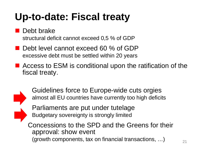# **Up-to-date: Fiscal treaty**

**Debt brake** structural deficit cannot exceed 0,5 % of GDP

- Debt level cannot exceed 60 % of GDP excessive debt must be settled within 20 years
- Access to ESM is conditional upon the ratification of the fiscal treaty.



 Guidelines force to Europe-wide cuts orgies almost all EU countries have currently too high deficits

Parliaments are put under tutelage Budgetary sovereignty is strongly limited

Concessions to the SPD and the Greens for their approval: show event (growth components, tax on financial transactions, ...)  $\qquad$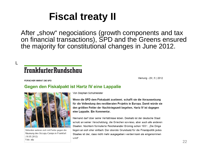# **Fiscal treaty II**

After "show" negociations (growth components and tax on financial transactions), SPD and the Greens ensured the majority for constitutional changes in June 2012.

### **FrankfurterRundschau**

Meinung - 29 | 5 | 2012

FORSCHER WARNT DIE SPD

L

#### Gegen den Fiskalpakt ist Hartz IV eine Lappalie



Aktivisten wehren sich mit Farbe gegen die Räumung des Occupy-Camps in Frankfurt  $(16.05.2012).$ Foto: afp

Von Stephan Schulmeister

Wenn die SPD dem Fiskalpakt zustimmt, schafft sie die Voraussetzung für die Vollendung des neoliberalen Projekts in Europa. Damit würde sie den größten Fehler der Nachkriegszeit begehen, Hartz IV ist dagegen eine Lappalie. Ein Kommentar.

Niemand darf über seine Verhältnisse leben. Deshalb ist der deutsche Staat schuld an seiner Verschuldung, die Griechen sowieso, aber auch alle anderen Staaten. Nüchtern formulierte Reichskanzler Brüning schon 1931: "Die Dinge liegen an sich eher einfach: Der oberste Grundsatz für die Finanzpolitik jedes Staates ist der, dass nicht mehr ausgegeben werden kann als eingenommen wird".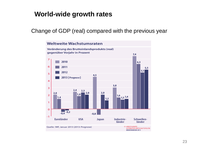#### **World-wide growth rates**

Change of GDP (real) compared with the previous year

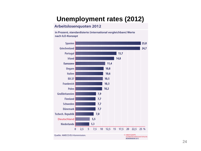#### **Unemployment rates (2012)**

#### Arbeitslosenquoten 2012

in Prozent, standardisierte (international vergleichbare) Werte nach ILO-Konzept

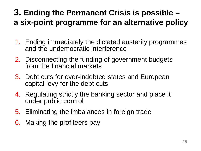### **3. Ending the Permanent Crisis is possible – a six-point programme for an alternative policy**

- 1. Ending immediately the dictated austerity programmes and the undemocratic interference
- 2. Disconnecting the funding of government budgets from the financial markets
- 3. Debt cuts for over-indebted states and European capital levy for the debt cuts
- 4. Regulating strictly the banking sector and place it under public control
- 5. Eliminating the imbalances in foreign trade
- 6. Making the profiteers pay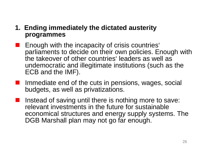#### **1. Ending immediately the dictated austerity programmes**

- **Enough with the incapacity of crisis countries'** parliaments to decide on their own policies. Enough with the takeover of other countries' leaders as well as undemocratic and illegitimate institutions (such as the ECB and the IMF).
- **If Immediate end of the cuts in pensions, wages, social** budgets, as well as privatizations.
- I Instead of saving until there is nothing more to save: relevant investments in the future for sustainable economical structures and energy supply systems. The DGB Marshall plan may not go far enough.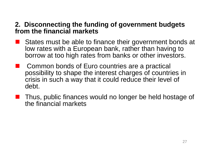#### **2. Disconnecting the funding of government budgets from the financial markets**

- States must be able to finance their government bonds at low rates with a European bank, rather than having to borrow at too high rates from banks or other investors.
- Common bonds of Euro countries are a practical possibility to shape the interest charges of countries in crisis in such a way that it could reduce their level of debt.
- **Thus, public finances would no longer be held hostage of** the financial markets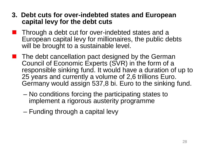- **3. Debt cuts for over-indebted states and European capital levy for the debt cuts**
- **Through a debt cut for over-indebted states and a** European capital levy for millionaires, the public debts will be brought to a sustainable level.
- **The debt cancellation pact designed by the German** Council of Economic Experts (SVR) in the form of a responsible sinking fund. It would have a duration of up to 25 years and currently a volume of 2,6 trillions Euro. Germany would assign 537,8 bi. Euro to the sinking fund.
	- No conditions forcing the participating states to implement a rigorous austerity programme
	- Funding through a capital levy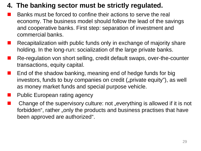#### **4. The banking sector must be strictly regulated.**

- Banks must be forced to confine their actions to serve the real economy. The business model should follow the lead of the savings and cooperative banks. First step: separation of investment and commercial banks.
- Recapitalization with public funds only in exchange of majority share holding. In the long-run: socialization of the large private banks.
- Re-regulation von short selling, credit default swaps, over-the-counter transactions, equity capital.
- End of the shadow banking, meaning end of hedge funds for big investors, funds to buy companies on credit ("private equity"), as well as money market funds and special purpose vehicle.
- Public European rating agency
- Change of the supervisory culture: not "everything is allowed if it is not forbidden", rather "only the products and business practises that have been approved are authorized".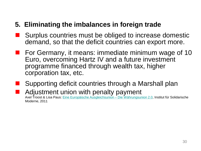#### **5. Eliminating the imbalances in foreign trade**

- Surplus countries must be obliged to increase domestic demand, so that the deficit countries can export more.
- **For Germany, it means: immediate minimum wage of 10** Euro, overcoming Hartz IV and a future investment programme financed through wealth tax, higher corporation tax, etc.
- Supporting deficit countries through a Marshall plan Adjustment union with penalty payment Axel Troost & Lisa Paus: [Eine Europäische Ausgleichsunion –](http://www.solidarische-moderne.de/de/article/154.die-europaeische-ausgleichsunion-die-waehrungsunion-2-0.html) Die Währungsunion 2.0, Institut für Solidarische Moderne, 2011